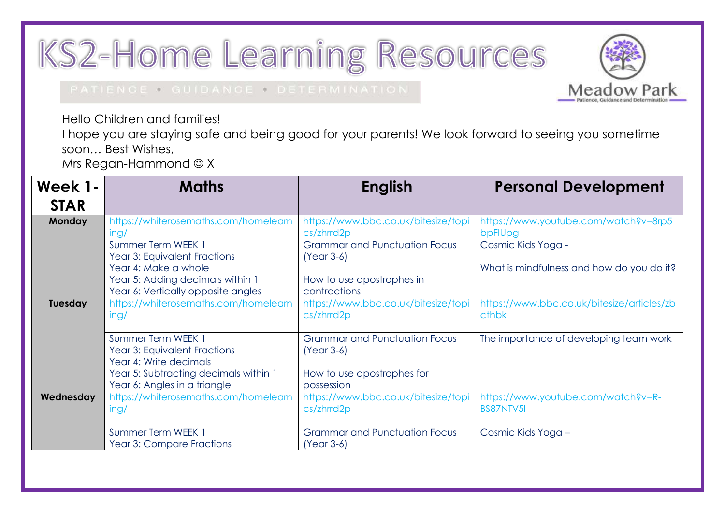## KS2-Home Learning Resources



## PATIENCE . GUIDANCE . DETERMINATION

Hello Children and families!

I hope you are staying safe and being good for your parents! We look forward to seeing you sometime soon… Best Wishes,

Mrs Regan-Hammond  $\odot$  X

| Week 1-<br><b>STAR</b> | <b>Maths</b>                                                                                   | <b>English</b>                                             | <b>Personal Development</b>                            |
|------------------------|------------------------------------------------------------------------------------------------|------------------------------------------------------------|--------------------------------------------------------|
| Monday                 | https://whiterosemaths.com/homelearn<br>ing/                                                   | https://www.bbc.co.uk/bitesize/topi<br>$cs/\text{zhrrd2p}$ | https://www.youtube.com/watch?v=8rp5<br>bpFIUpg        |
|                        | Summer Term WEEK 1<br>Year 3: Equivalent Fractions                                             | <b>Grammar and Punctuation Focus</b><br>$(Year 3-6)$       | Cosmic Kids Yoga -                                     |
|                        | Year 4: Make a whole<br>Year 5: Adding decimals within 1<br>Year 6: Vertically opposite angles | How to use apostrophes in<br>contractions                  | What is mindfulness and how do you do it?              |
| <b>Tuesday</b>         | https://whiterosemaths.com/homelearn<br>ing/                                                   | https://www.bbc.co.uk/bitesize/topi<br>$cs/\text{zhrrd2p}$ | https://www.bbc.co.uk/bitesize/articles/zb<br>cthbk    |
|                        | Summer Term WEEK 1<br>Year 3: Equivalent Fractions<br>Year 4: Write decimals                   | <b>Grammar and Punctuation Focus</b><br>$(Year 3-6)$       | The importance of developing team work                 |
|                        | Year 5: Subtracting decimals within 1<br>Year 6: Angles in a triangle                          | How to use apostrophes for<br>possession                   |                                                        |
| Wednesday              | https://whiterosemaths.com/homelearn<br>ing/                                                   | https://www.bbc.co.uk/bitesize/topi<br>$cs/\text{zhrrd2p}$ | https://www.youtube.com/watch?v=R-<br><b>BS87NTV5I</b> |
|                        | Summer Term WEEK 1<br>Year 3: Compare Fractions                                                | <b>Grammar and Punctuation Focus</b><br>$(Year 3-6)$       | Cosmic Kids Yoga -                                     |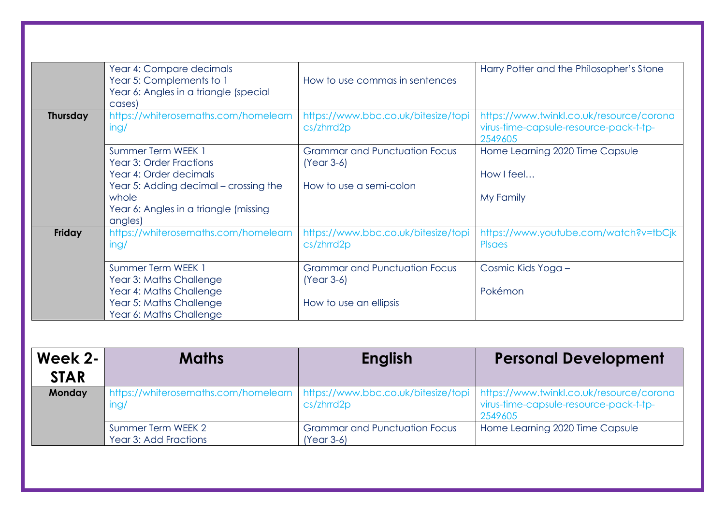|                 | Year 4: Compare decimals<br>Year 5: Complements to 1<br>Year 6: Angles in a triangle (special<br>cases) | How to use commas in sentences                             | Harry Potter and the Philosopher's Stone                                                      |
|-----------------|---------------------------------------------------------------------------------------------------------|------------------------------------------------------------|-----------------------------------------------------------------------------------------------|
| <b>Thursday</b> | https://whiterosemaths.com/homelearn<br>ing/                                                            | https://www.bbc.co.uk/bitesize/topi<br>$cs/\text{zhrrd2p}$ | https://www.twinkl.co.uk/resource/corona<br>virus-time-capsule-resource-pack-t-tp-<br>2549605 |
|                 | Summer Term WEEK 1<br>Year 3: Order Fractions<br>Year 4: Order decimals                                 | <b>Grammar and Punctuation Focus</b><br>$(Year 3-6)$       | Home Learning 2020 Time Capsule<br>How I feel                                                 |
|                 | Year 5: Adding decimal – crossing the<br>whole                                                          | How to use a semi-colon                                    | My Family                                                                                     |
|                 | Year 6: Angles in a triangle (missing<br>angles)                                                        |                                                            |                                                                                               |
| Friday          | https://whiterosemaths.com/homelearn<br>ing/                                                            | https://www.bbc.co.uk/bitesize/topi<br>$cs/\text{zhrrd2p}$ | https://www.youtube.com/watch?v=tbCjk<br><b>P</b> saes                                        |
|                 | Summer Term WEEK 1<br>Year 3: Maths Challenge                                                           | <b>Grammar and Punctuation Focus</b><br>$(Year 3-6)$       | Cosmic Kids Yoga -                                                                            |
|                 | Year 4: Maths Challenge<br>Year 5: Maths Challenge                                                      | How to use an ellipsis                                     | Pokémon                                                                                       |
|                 | Year 6: Maths Challenge                                                                                 |                                                            |                                                                                               |

| Week 2-     | <b>Maths</b>                                | <b>English</b>                                       | <b>Personal Development</b>                                                                                                                                            |
|-------------|---------------------------------------------|------------------------------------------------------|------------------------------------------------------------------------------------------------------------------------------------------------------------------------|
| <b>STAR</b> |                                             |                                                      |                                                                                                                                                                        |
| Monday      | ing/                                        | cs/zhrrd2p                                           | https://whiterosemaths.com/homelearn https://www.bbc.co.uk/bitesize/topi https://www.twinkl.co.uk/resource/corona<br>virus-time-capsule-resource-pack-t-tp-<br>2549605 |
|             | Summer Term WEEK 2<br>Year 3: Add Fractions | <b>Grammar and Punctuation Focus</b><br>$(Year 3-6)$ | Home Learning 2020 Time Capsule                                                                                                                                        |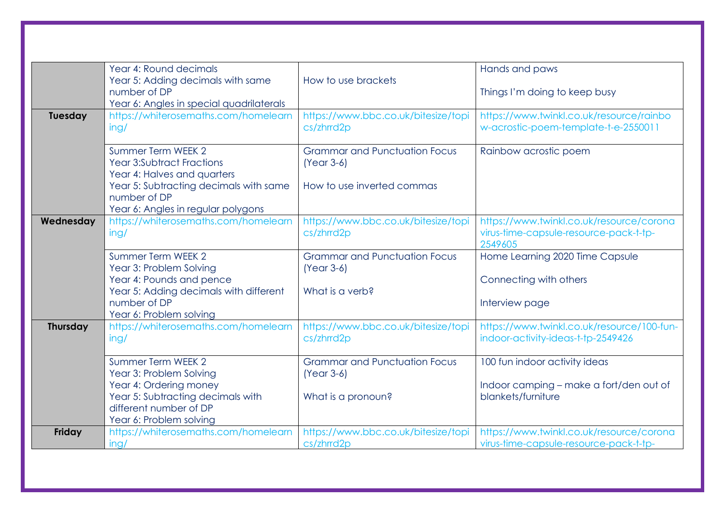|                 | Year 4: Round decimals<br>Year 5: Adding decimals with same<br>number of DP<br>Year 6: Angles in special quadrilaterals                                           | How to use brackets                                                        | Hands and paws<br>Things I'm doing to keep busy                                                |
|-----------------|-------------------------------------------------------------------------------------------------------------------------------------------------------------------|----------------------------------------------------------------------------|------------------------------------------------------------------------------------------------|
| Tuesday         | https://whiterosemaths.com/homelearn<br>ing/                                                                                                                      | https://www.bbc.co.uk/bitesize/topi<br>cs/zhrrd2p                          | https://www.twinkl.co.uk/resource/rainbo<br>w-acrostic-poem-template-t-e-2550011               |
|                 | Summer Term WEEK 2<br>Year 3:Subtract Fractions<br>Year 4: Halves and quarters                                                                                    | <b>Grammar and Punctuation Focus</b><br>$(Year 3-6)$                       | Rainbow acrostic poem                                                                          |
|                 | Year 5: Subtracting decimals with same<br>number of DP<br>Year 6: Angles in regular polygons                                                                      | How to use inverted commas                                                 |                                                                                                |
| Wednesday       | https://whiterosemaths.com/homelearn<br>ing/                                                                                                                      | https://www.bbc.co.uk/bitesize/topi<br>cs/zhrrd2p                          | https://www.twinkl.co.uk/resource/corona<br>virus-time-capsule-resource-pack-t-tp-<br>2549605  |
|                 | Summer Term WEEK 2<br>Year 3: Problem Solving<br>Year 4: Pounds and pence<br>Year 5: Adding decimals with different<br>number of DP<br>Year 6: Problem solving    | <b>Grammar and Punctuation Focus</b><br>$(Year 3-6)$<br>What is a verb?    | Home Learning 2020 Time Capsule<br>Connecting with others<br>Interview page                    |
| <b>Thursday</b> | https://whiterosemaths.com/homelearn<br>ing/                                                                                                                      | https://www.bbc.co.uk/bitesize/topi<br>cs/zhrrd2p                          | https://www.twinkl.co.uk/resource/100-fun-<br>indoor-activity-ideas-t-tp-2549426               |
|                 | Summer Term WEEK 2<br>Year 3: Problem Solving<br>Year 4: Ordering money<br>Year 5: Subtracting decimals with<br>different number of DP<br>Year 6: Problem solving | <b>Grammar and Punctuation Focus</b><br>$(Year 3-6)$<br>What is a pronoun? | 100 fun indoor activity ideas<br>Indoor camping – make a fort/den out of<br>blankets/furniture |
| Friday          | https://whiterosemaths.com/homelearn<br>ing/                                                                                                                      | https://www.bbc.co.uk/bitesize/topi<br>cs/zhrrd2p                          | https://www.twinkl.co.uk/resource/corona<br>virus-time-capsule-resource-pack-t-tp-             |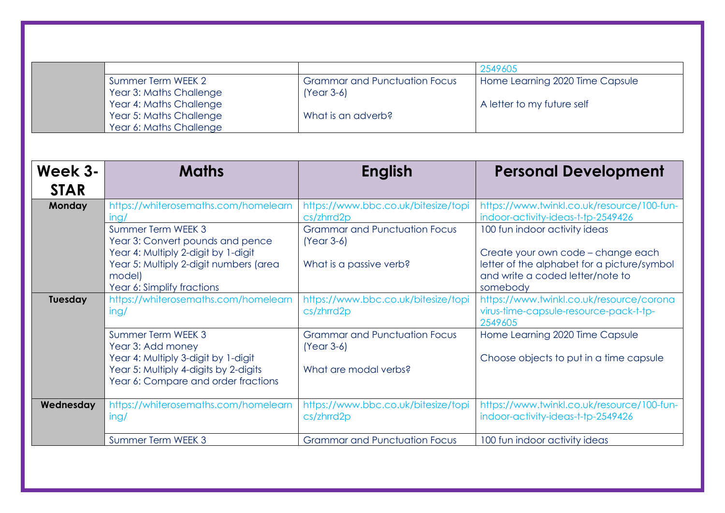|                        |                                                                                                                                                                                 |                                                                                 | 2549605                                                                                                                                                            |
|------------------------|---------------------------------------------------------------------------------------------------------------------------------------------------------------------------------|---------------------------------------------------------------------------------|--------------------------------------------------------------------------------------------------------------------------------------------------------------------|
|                        | Summer Term WEEK 2<br>Year 3: Maths Challenge<br>Year 4: Maths Challenge<br>Year 5: Maths Challenge<br>Year 6: Maths Challenge                                                  | <b>Grammar and Punctuation Focus</b><br>$(Year 3-6)$<br>What is an adverb?      | Home Learning 2020 Time Capsule<br>A letter to my future self                                                                                                      |
| Week 3-<br><b>STAR</b> | <b>Maths</b>                                                                                                                                                                    | <b>English</b>                                                                  | <b>Personal Development</b>                                                                                                                                        |
| Monday                 | https://whiterosemaths.com/homelearn<br>inq/                                                                                                                                    | https://www.bbc.co.uk/bitesize/topi<br>cs/zhrrd2p                               | https://www.twinkl.co.uk/resource/100-fun-<br>indoor-activity-ideas-t-tp-2549426                                                                                   |
|                        | Summer Term WEEK 3<br>Year 3: Convert pounds and pence<br>Year 4: Multiply 2-digit by 1-digit<br>Year 5: Multiply 2-digit numbers (area<br>model)<br>Year 6: Simplify fractions | <b>Grammar and Punctuation Focus</b><br>$(Year 3-6)$<br>What is a passive verb? | 100 fun indoor activity ideas<br>Create your own code - change each<br>letter of the alphabet for a picture/symbol<br>and write a coded letter/note to<br>somebody |
| Tuesday                | https://whiterosemaths.com/homelearn<br>ing/                                                                                                                                    | https://www.bbc.co.uk/bitesize/topi<br>cs/zhrrd2p                               | https://www.twinkl.co.uk/resource/corona<br>virus-time-capsule-resource-pack-t-tp-<br>2549605                                                                      |
|                        | Summer Term WEEK 3<br>Year 3: Add money<br>Year 4: Multiply 3-digit by 1-digit<br>Year 5: Multiply 4-digits by 2-digits<br>Year 6: Compare and order fractions                  | <b>Grammar and Punctuation Focus</b><br>$(Year 3-6)$<br>What are modal verbs?   | Home Learning 2020 Time Capsule<br>Choose objects to put in a time capsule                                                                                         |
| Wednesday              | https://whiterosemaths.com/homelearn<br>ing/                                                                                                                                    | https://www.bbc.co.uk/bitesize/topi<br>cs/zhrrd2p                               | https://www.twinkl.co.uk/resource/100-fun-<br>indoor-activity-ideas-t-tp-2549426                                                                                   |
|                        | Summer Term WEEK 3                                                                                                                                                              | <b>Grammar and Punctuation Focus</b>                                            | 100 fun indoor activity ideas                                                                                                                                      |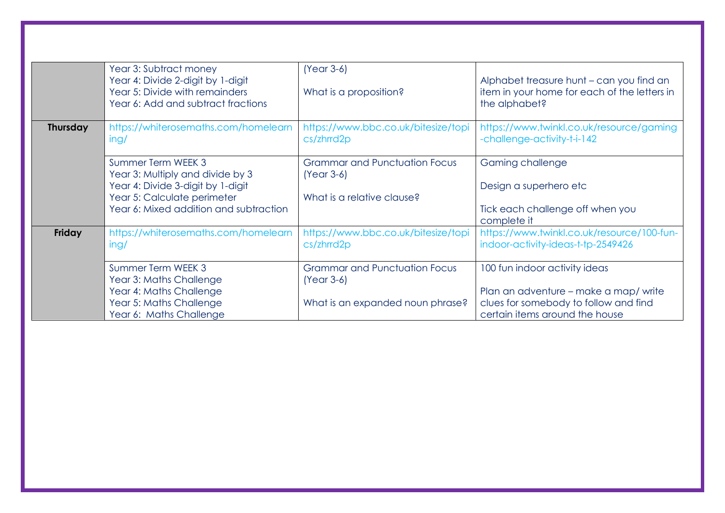|                 | Year 3: Subtract money<br>Year 4: Divide 2-digit by 1-digit<br>Year 5: Divide with remainders<br>Year 6: Add and subtract fractions                                  | $(Year 3-6)$<br>What is a proposition?                                                   | Alphabet treasure hunt - can you find an<br>item in your home for each of the letters in<br>the alphabet?                                        |
|-----------------|----------------------------------------------------------------------------------------------------------------------------------------------------------------------|------------------------------------------------------------------------------------------|--------------------------------------------------------------------------------------------------------------------------------------------------|
| <b>Thursday</b> | https://whiterosemaths.com/homelearn<br>ing/                                                                                                                         | https://www.bbc.co.uk/bitesize/topi<br>$cs/\text{zhrrd2p}$                               | https://www.twinkl.co.uk/resource/gaming<br>-challenge-activity-t-i-142                                                                          |
|                 | Summer Term WEEK 3<br>Year 3: Multiply and divide by 3<br>Year 4: Divide 3-digit by 1-digit<br>Year 5: Calculate perimeter<br>Year 6: Mixed addition and subtraction | <b>Grammar and Punctuation Focus</b><br>$(Year 3-6)$<br>What is a relative clause?       | Gaming challenge<br>Design a superhero etc<br>Tick each challenge off when you<br>complete it                                                    |
| Friday          | https://whiterosemaths.com/homelearn<br>ing/                                                                                                                         | https://www.bbc.co.uk/bitesize/topi<br>$cs/\text{zhrrd2p}$                               | https://www.twinkl.co.uk/resource/100-fun-<br>indoor-activity-ideas-t-tp-2549426                                                                 |
|                 | Summer Term WEEK 3<br>Year 3: Maths Challenge<br>Year 4: Maths Challenge<br>Year 5: Maths Challenge<br>Year 6: Maths Challenge                                       | <b>Grammar and Punctuation Focus</b><br>$(Year 3-6)$<br>What is an expanded noun phrase? | 100 fun indoor activity ideas<br>Plan an adventure – make a map/write<br>clues for somebody to follow and find<br>certain items around the house |